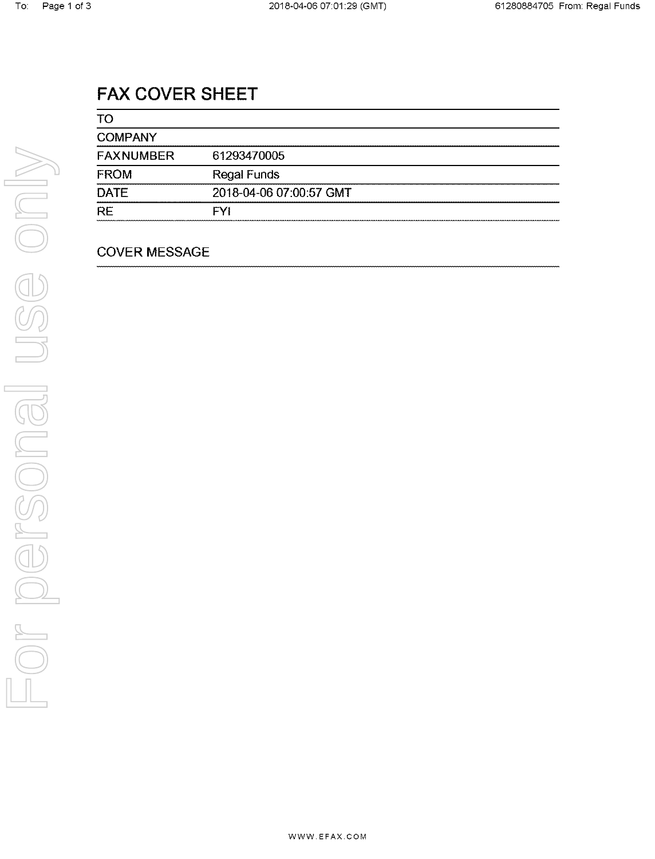# FAX COVER SHEET

| TO               |                         |
|------------------|-------------------------|
| <b>COMPANY</b>   |                         |
| <b>FAXNUMBER</b> | 61293470005             |
| <b>FROM</b>      | <b>Regal Funds</b>      |
| <b>DATE</b>      | 2018-04-06 07:00:57 GMT |
| <b>RE</b>        | <b>FYI</b>              |

## COVER MESSAGE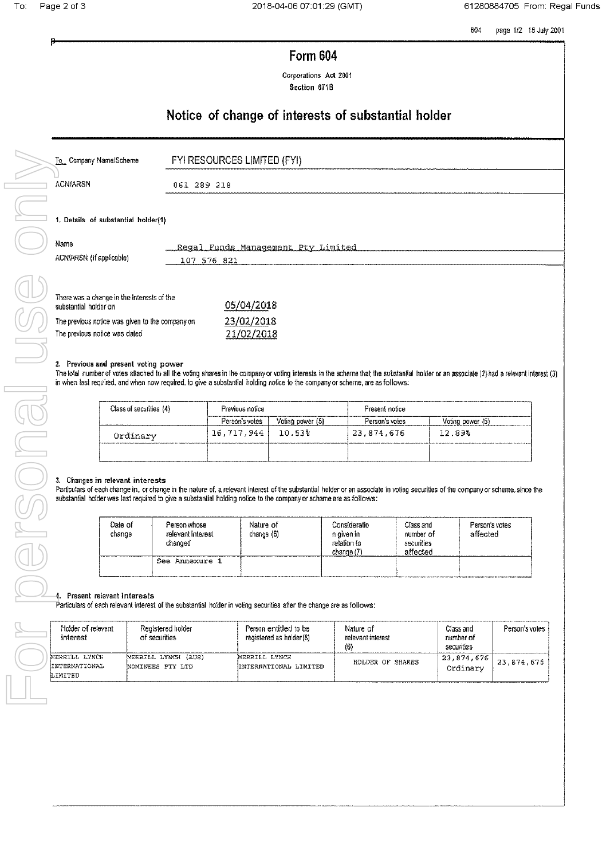604 page 1/2 15 July 2001

## Form 604

Corporations Act 2001 Section 671B

## Notice of change of interests of substantial holder

|      | To Company Name/Scheme                                                                                                                                  | FYI RESOURCES LIMITED (FYI)                           |
|------|---------------------------------------------------------------------------------------------------------------------------------------------------------|-------------------------------------------------------|
|      | <b>ACN/ARSN</b>                                                                                                                                         | 061 289 218                                           |
| Name | 1. Details of substantial holder(1)<br>ACN/ARSN (if applicable)                                                                                         | Regal Funds Management Pty Limited                    |
|      | There was a change in the Interests of the<br>substantial holder on<br>The previous notice was given to the company on<br>The previous notice was dated | 107 576 821<br>05/04/2018<br>23/02/2018<br>21/02/2018 |

### 2. Previous and present voting power

The total number of votes attached to all the voting shares in the company or voting interests in the scheme that the substantial holder or an associate (2) had a relevant interest (3) in when last required, and when now required, to give a substantial holding notice to the company or scheme, are as follows:

| Class of securities (4) | Previous notice |                  | Fresent notice |                  |
|-------------------------|-----------------|------------------|----------------|------------------|
|                         | Person's votes  | Voting power (5) | Person's votes | Voting power (5) |
| Ordinary                | 16,717,944      | $10.53\%$        | 23.874.676     | 12.89%           |
|                         |                 |                  |                |                  |

### 3. Changes in relevant interests

Particulars of each change in, or change in the nature of, a relevant interest of the substantial holder or an associate in voting securities of the company or scheme, since the substantial holder was last required to give a substantial holding notice to the company or scheme are as follows:

| Date of<br>change | Person whose<br>relevant interest<br>changed | Nature of<br>change (6) | Consideratio<br>n aiven in<br>relation to<br>change (7) | Class and<br>number of<br>securities<br>affected | Person's votes<br>affected |
|-------------------|----------------------------------------------|-------------------------|---------------------------------------------------------|--------------------------------------------------|----------------------------|
|                   | See Annexure 1                               |                         |                                                         |                                                  |                            |

#### Present relevant interests  $\frac{1}{2}$

Particulars of each relevant interest of the substantial holder in voting securities after the change are as follows:

| Holder of relevant<br>interest                   | Registered holder<br>of securities         | Person entitled to be<br>registered as holder (8) | Nature of<br>relevant interest<br>$ 6\rangle$ | Class and<br>number of<br>securities | Person's votes |
|--------------------------------------------------|--------------------------------------------|---------------------------------------------------|-----------------------------------------------|--------------------------------------|----------------|
| MERRILL LYNCH<br><b>INTERNATIONAL</b><br>LIMITED | MERRILL LYNCH<br>(AUS)<br>NOMINEES PTY LTD | MERRILL LYNCR<br>HNTERNATIONAL LIMITED            | HOLDER OF SHARES                              | 23,874,676<br>  Ordinary 0           | 23, 874, 675   |